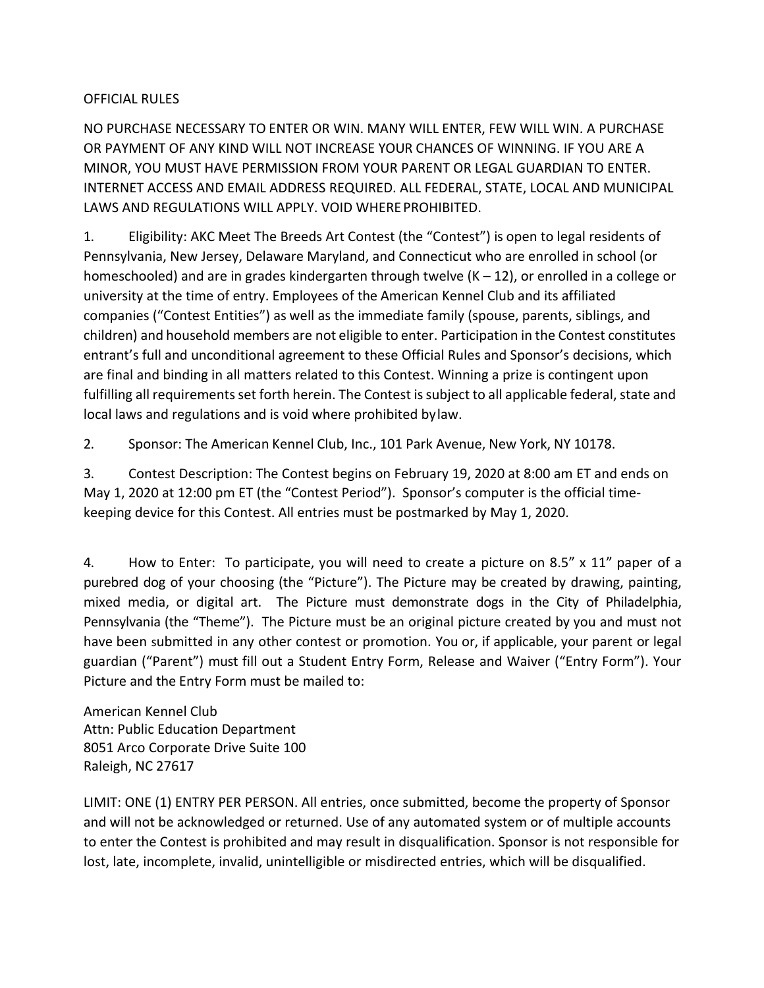## OFFICIAL RULES

NO PURCHASE NECESSARY TO ENTER OR WIN. MANY WILL ENTER, FEW WILL WIN. A PURCHASE OR PAYMENT OF ANY KIND WILL NOT INCREASE YOUR CHANCES OF WINNING. IF YOU ARE A MINOR, YOU MUST HAVE PERMISSION FROM YOUR PARENT OR LEGAL GUARDIAN TO ENTER. INTERNET ACCESS AND EMAIL ADDRESS REQUIRED. ALL FEDERAL, STATE, LOCAL AND MUNICIPAL LAWS AND REGULATIONS WILL APPLY. VOID WHEREPROHIBITED.

1. Eligibility: AKC Meet The Breeds Art Contest (the "Contest") is open to legal residents of Pennsylvania, New Jersey, Delaware Maryland, and Connecticut who are enrolled in school (or homeschooled) and are in grades kindergarten through twelve  $(K - 12)$ , or enrolled in a college or university at the time of entry. Employees of the American Kennel Club and its affiliated companies ("Contest Entities") as well as the immediate family (spouse, parents, siblings, and children) and household members are not eligible to enter. Participation in the Contest constitutes entrant's full and unconditional agreement to these Official Rules and Sponsor's decisions, which are final and binding in all matters related to this Contest. Winning a prize is contingent upon fulfilling all requirements set forth herein. The Contest is subject to all applicable federal, state and local laws and regulations and is void where prohibited bylaw.

2. Sponsor: The American Kennel Club, Inc., 101 Park Avenue, New York, NY 10178.

3. Contest Description: The Contest begins on February 19, 2020 at 8:00 am ET and ends on May 1, 2020 at 12:00 pm ET (the "Contest Period"). Sponsor's computer is the official timekeeping device for this Contest. All entries must be postmarked by May 1, 2020.

4. How to Enter: To participate, you will need to create a picture on 8.5" x 11" paper of a purebred dog of your choosing (the "Picture"). The Picture may be created by drawing, painting, mixed media, or digital art. The Picture must demonstrate dogs in the City of Philadelphia, Pennsylvania (the "Theme"). The Picture must be an original picture created by you and must not have been submitted in any other contest or promotion. You or, if applicable, your parent or legal guardian ("Parent") must fill out a Student Entry Form, Release and Waiver ("Entry Form"). Your Picture and the Entry Form must be mailed to:

American Kennel Club Attn: Public Education Department 8051 Arco Corporate Drive Suite 100 Raleigh, NC 27617

LIMIT: ONE (1) ENTRY PER PERSON. All entries, once submitted, become the property of Sponsor and will not be acknowledged or returned. Use of any automated system or of multiple accounts to enter the Contest is prohibited and may result in disqualification. Sponsor is not responsible for lost, late, incomplete, invalid, unintelligible or misdirected entries, which will be disqualified.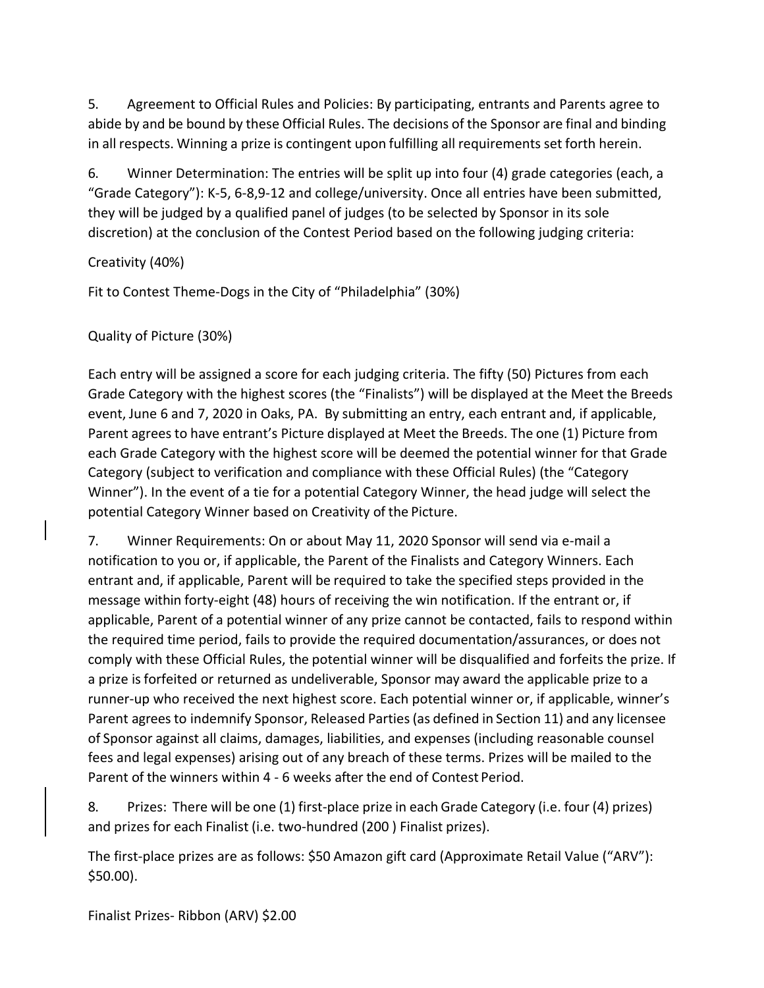5. Agreement to Official Rules and Policies: By participating, entrants and Parents agree to abide by and be bound by these Official Rules. The decisions of the Sponsor are final and binding in all respects. Winning a prize is contingent upon fulfilling all requirements set forth herein.

6. Winner Determination: The entries will be split up into four (4) grade categories (each, a "Grade Category"): K-5, 6-8,9-12 and college/university. Once all entries have been submitted, they will be judged by a qualified panel of judges (to be selected by Sponsor in its sole discretion) at the conclusion of the Contest Period based on the following judging criteria:

Creativity (40%)

Fit to Contest Theme-Dogs in the City of "Philadelphia" (30%)

Quality of Picture (30%)

Each entry will be assigned a score for each judging criteria. The fifty (50) Pictures from each Grade Category with the highest scores (the "Finalists") will be displayed at the Meet the Breeds event, June 6 and 7, 2020 in Oaks, PA. By submitting an entry, each entrant and, if applicable, Parent agreesto have entrant's Picture displayed at Meet the Breeds. The one (1) Picture from each Grade Category with the highest score will be deemed the potential winner for that Grade Category (subject to verification and compliance with these Official Rules) (the "Category Winner"). In the event of a tie for a potential Category Winner, the head judge will select the potential Category Winner based on Creativity of the Picture.

7. Winner Requirements: On or about May 11, 2020 Sponsor will send via e-mail a notification to you or, if applicable, the Parent of the Finalists and Category Winners. Each entrant and, if applicable, Parent will be required to take the specified steps provided in the message within forty-eight (48) hours of receiving the win notification. If the entrant or, if applicable, Parent of a potential winner of any prize cannot be contacted, fails to respond within the required time period, fails to provide the required documentation/assurances, or does not comply with these Official Rules, the potential winner will be disqualified and forfeits the prize. If a prize is forfeited or returned as undeliverable, Sponsor may award the applicable prize to a runner-up who received the next highest score. Each potential winner or, if applicable, winner's Parent agrees to indemnify Sponsor, Released Parties(as defined in Section 11) and any licensee of Sponsor against all claims, damages, liabilities, and expenses (including reasonable counsel fees and legal expenses) arising out of any breach of these terms. Prizes will be mailed to the Parent of the winners within 4 - 6 weeks after the end of Contest Period.

8. Prizes: There will be one (1) first-place prize in each Grade Category (i.e. four (4) prizes) and prizes for each Finalist (i.e. two-hundred (200 ) Finalist prizes).

The first-place prizes are as follows: \$50 Amazon gift card (Approximate Retail Value ("ARV"): \$50.00).

Finalist Prizes- Ribbon (ARV) \$2.00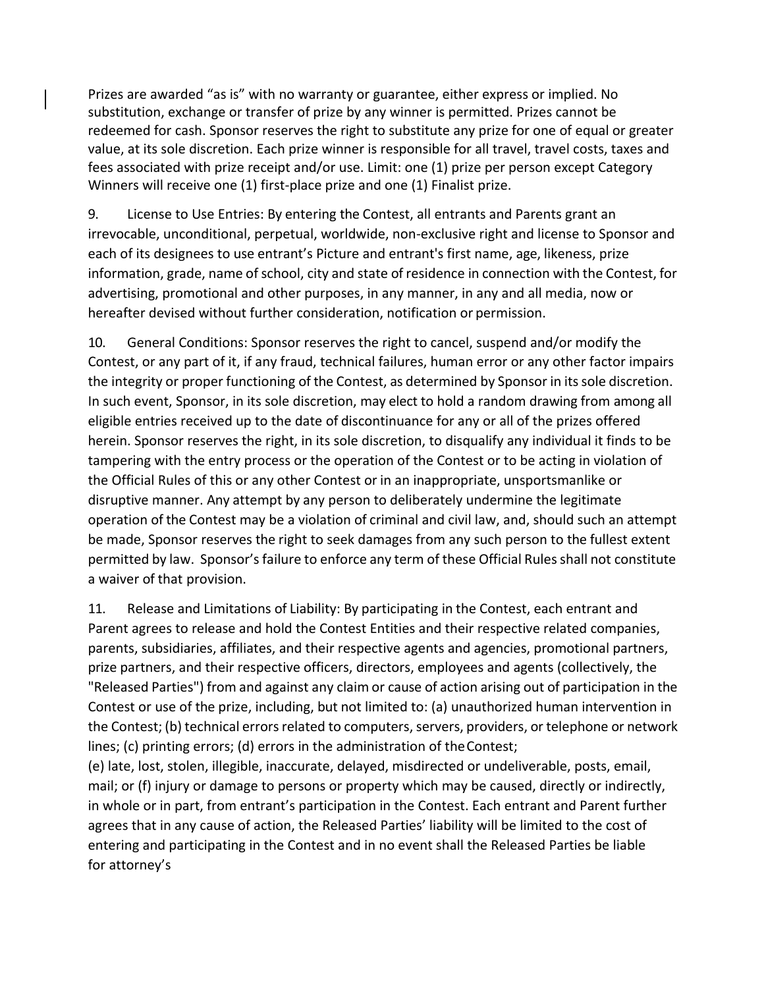Prizes are awarded "as is" with no warranty or guarantee, either express or implied. No substitution, exchange or transfer of prize by any winner is permitted. Prizes cannot be redeemed for cash. Sponsor reserves the right to substitute any prize for one of equal or greater value, at its sole discretion. Each prize winner is responsible for all travel, travel costs, taxes and fees associated with prize receipt and/or use. Limit: one (1) prize per person except Category Winners will receive one (1) first-place prize and one (1) Finalist prize.

9. License to Use Entries: By entering the Contest, all entrants and Parents grant an irrevocable, unconditional, perpetual, worldwide, non-exclusive right and license to Sponsor and each of its designees to use entrant's Picture and entrant's first name, age, likeness, prize information, grade, name of school, city and state of residence in connection with the Contest, for advertising, promotional and other purposes, in any manner, in any and all media, now or hereafter devised without further consideration, notification or permission.

10. General Conditions: Sponsor reserves the right to cancel, suspend and/or modify the Contest, or any part of it, if any fraud, technical failures, human error or any other factor impairs the integrity or proper functioning of the Contest, as determined by Sponsor in itssole discretion. In such event, Sponsor, in its sole discretion, may elect to hold a random drawing from among all eligible entries received up to the date of discontinuance for any or all of the prizes offered herein. Sponsor reserves the right, in its sole discretion, to disqualify any individual it finds to be tampering with the entry process or the operation of the Contest or to be acting in violation of the Official Rules of this or any other Contest or in an inappropriate, unsportsmanlike or disruptive manner. Any attempt by any person to deliberately undermine the legitimate operation of the Contest may be a violation of criminal and civil law, and, should such an attempt be made, Sponsor reserves the right to seek damages from any such person to the fullest extent permitted by law. Sponsor'sfailure to enforce any term of these Official Rulesshall not constitute a waiver of that provision.

11. Release and Limitations of Liability: By participating in the Contest, each entrant and Parent agrees to release and hold the Contest Entities and their respective related companies, parents, subsidiaries, affiliates, and their respective agents and agencies, promotional partners, prize partners, and their respective officers, directors, employees and agents (collectively, the "Released Parties") from and against any claim or cause of action arising out of participation in the Contest or use of the prize, including, but not limited to: (a) unauthorized human intervention in the Contest; (b) technical errors related to computers, servers, providers, or telephone or network lines; (c) printing errors; (d) errors in the administration of theContest;

(e) late, lost, stolen, illegible, inaccurate, delayed, misdirected or undeliverable, posts, email, mail; or (f) injury or damage to persons or property which may be caused, directly or indirectly, in whole or in part, from entrant's participation in the Contest. Each entrant and Parent further agrees that in any cause of action, the Released Parties' liability will be limited to the cost of entering and participating in the Contest and in no event shall the Released Parties be liable for attorney's